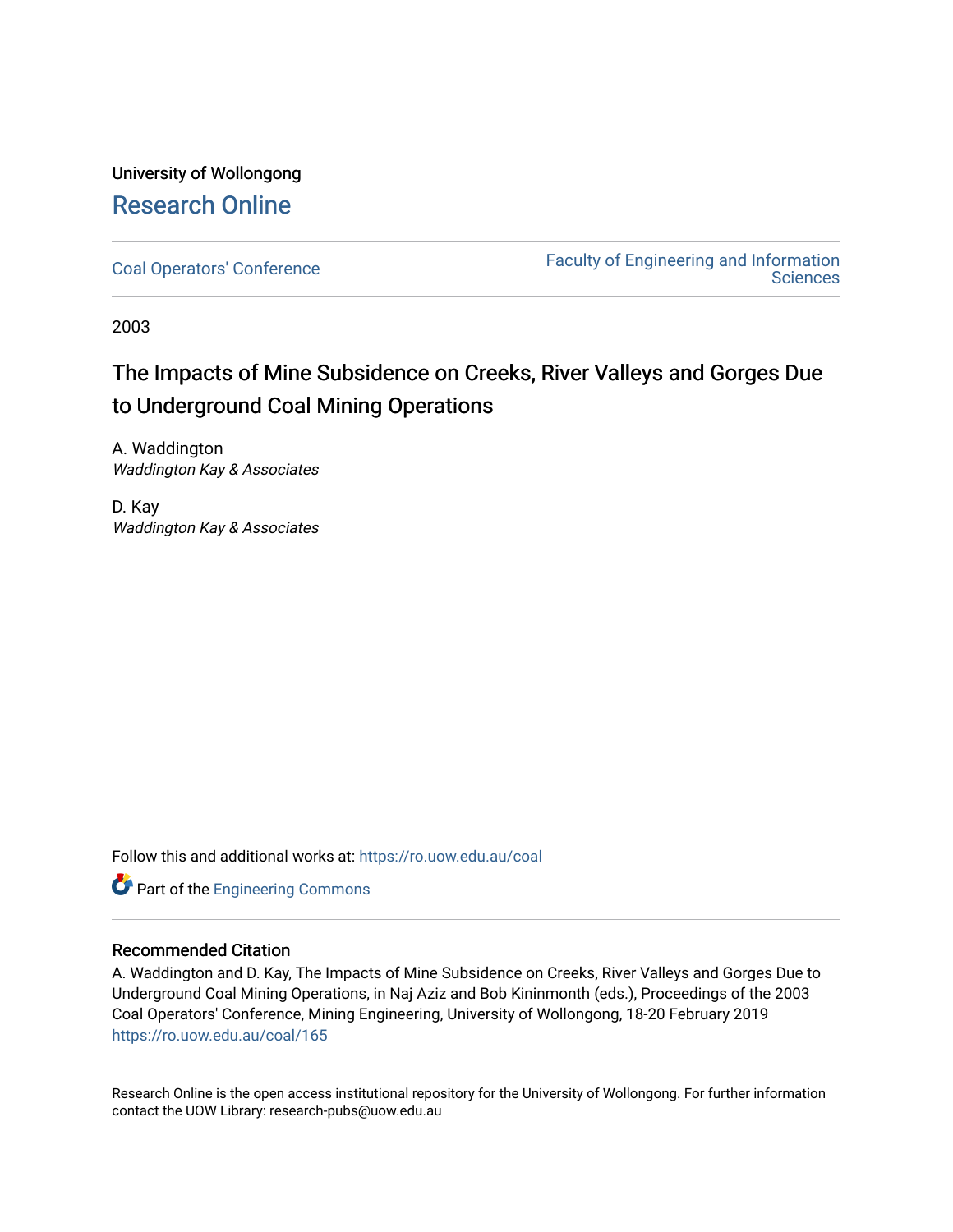## University of Wollongong [Research Online](https://ro.uow.edu.au/)

[Coal Operators' Conference](https://ro.uow.edu.au/coal) [Faculty of Engineering and Information](https://ro.uow.edu.au/eis)  **Sciences** 

2003

# The Impacts of Mine Subsidence on Creeks, River Valleys and Gorges Due to Underground Coal Mining Operations

A. Waddington Waddington Kay & Associates

D. Kay Waddington Kay & Associates

Follow this and additional works at: [https://ro.uow.edu.au/coal](https://ro.uow.edu.au/coal?utm_source=ro.uow.edu.au%2Fcoal%2F165&utm_medium=PDF&utm_campaign=PDFCoverPages) 



#### Recommended Citation

A. Waddington and D. Kay, The Impacts of Mine Subsidence on Creeks, River Valleys and Gorges Due to Underground Coal Mining Operations, in Naj Aziz and Bob Kininmonth (eds.), Proceedings of the 2003 Coal Operators' Conference, Mining Engineering, University of Wollongong, 18-20 February 2019 [https://ro.uow.edu.au/coal/165](https://ro.uow.edu.au/coal/165?utm_source=ro.uow.edu.au%2Fcoal%2F165&utm_medium=PDF&utm_campaign=PDFCoverPages) 

Research Online is the open access institutional repository for the University of Wollongong. For further information contact the UOW Library: research-pubs@uow.edu.au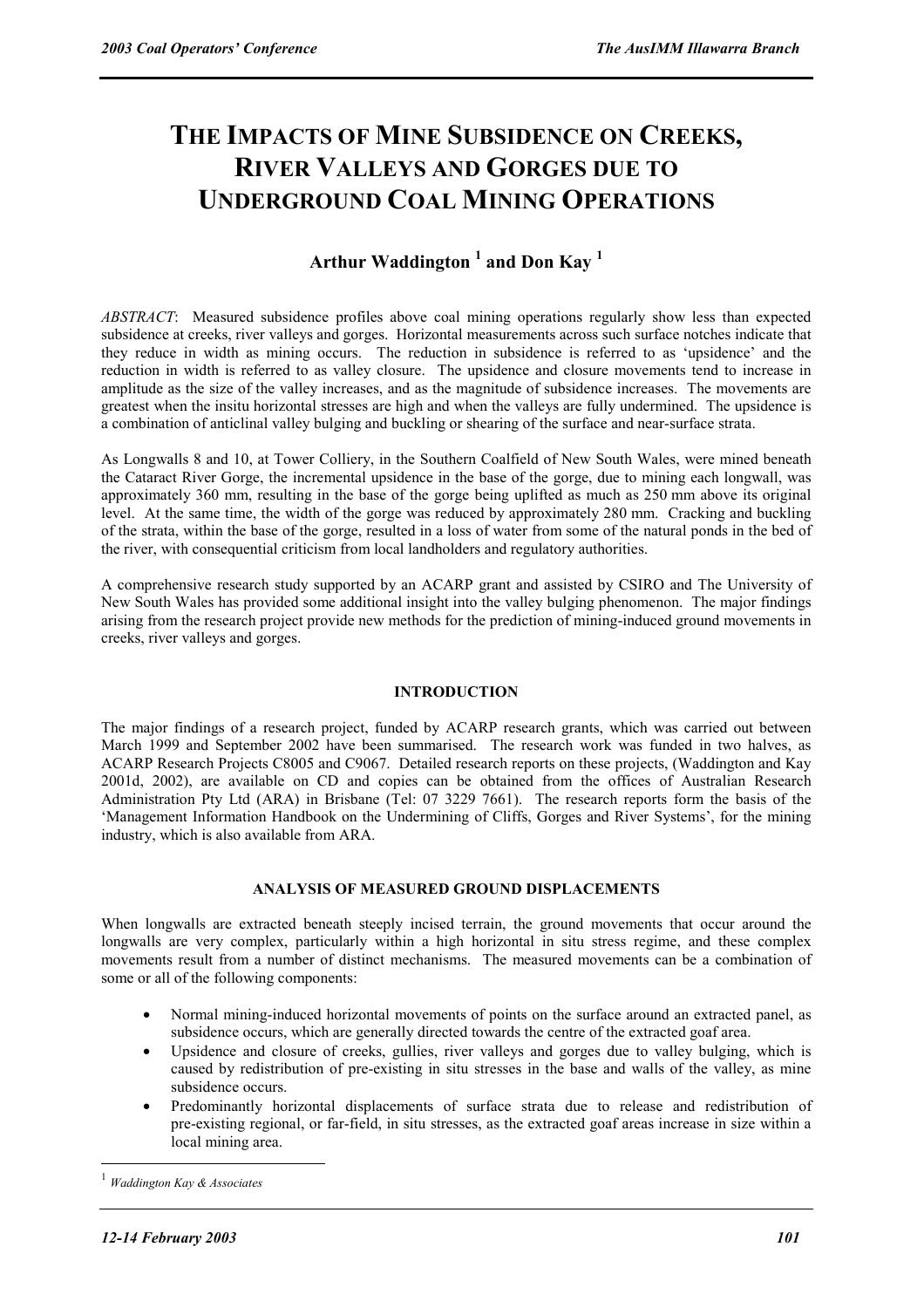# **THE IMPACTS OF MINE SUBSIDENCE ON CREEKS, RIVER VALLEYS AND GORGES DUE TO UNDERGROUND COAL MINING OPERATIONS**

### **Arthur Waddington 1 and Don Kay <sup>1</sup>**

*ABSTRACT*: Measured subsidence profiles above coal mining operations regularly show less than expected subsidence at creeks, river valleys and gorges. Horizontal measurements across such surface notches indicate that they reduce in width as mining occurs. The reduction in subsidence is referred to as 'upsidence' and the reduction in width is referred to as valley closure. The upsidence and closure movements tend to increase in amplitude as the size of the valley increases, and as the magnitude of subsidence increases. The movements are greatest when the insitu horizontal stresses are high and when the valleys are fully undermined. The upsidence is a combination of anticlinal valley bulging and buckling or shearing of the surface and near-surface strata.

As Longwalls 8 and 10, at Tower Colliery, in the Southern Coalfield of New South Wales, were mined beneath the Cataract River Gorge, the incremental upsidence in the base of the gorge, due to mining each longwall, was approximately 360 mm, resulting in the base of the gorge being uplifted as much as 250 mm above its original level. At the same time, the width of the gorge was reduced by approximately 280 mm. Cracking and buckling of the strata, within the base of the gorge, resulted in a loss of water from some of the natural ponds in the bed of the river, with consequential criticism from local landholders and regulatory authorities.

A comprehensive research study supported by an ACARP grant and assisted by CSIRO and The University of New South Wales has provided some additional insight into the valley bulging phenomenon. The major findings arising from the research project provide new methods for the prediction of mining-induced ground movements in creeks, river valleys and gorges.

#### **INTRODUCTION**

The major findings of a research project, funded by ACARP research grants, which was carried out between March 1999 and September 2002 have been summarised. The research work was funded in two halves, as ACARP Research Projects C8005 and C9067. Detailed research reports on these projects, (Waddington and Kay 2001d, 2002), are available on CD and copies can be obtained from the offices of Australian Research Administration Pty Ltd (ARA) in Brisbane (Tel: 07 3229 7661). The research reports form the basis of the 'Management Information Handbook on the Undermining of Cliffs, Gorges and River Systems', for the mining industry, which is also available from ARA.

#### **ANALYSIS OF MEASURED GROUND DISPLACEMENTS**

When longwalls are extracted beneath steeply incised terrain, the ground movements that occur around the longwalls are very complex, particularly within a high horizontal in situ stress regime, and these complex movements result from a number of distinct mechanisms. The measured movements can be a combination of some or all of the following components:

- Normal mining-induced horizontal movements of points on the surface around an extracted panel, as subsidence occurs, which are generally directed towards the centre of the extracted goaf area.
- Upsidence and closure of creeks, gullies, river valleys and gorges due to valley bulging, which is caused by redistribution of pre-existing in situ stresses in the base and walls of the valley, as mine subsidence occurs.
- Predominantly horizontal displacements of surface strata due to release and redistribution of pre-existing regional, or far-field, in situ stresses, as the extracted goaf areas increase in size within a local mining area.

 $\overline{a}$ 

<sup>1</sup> *Waddington Kay & Associates*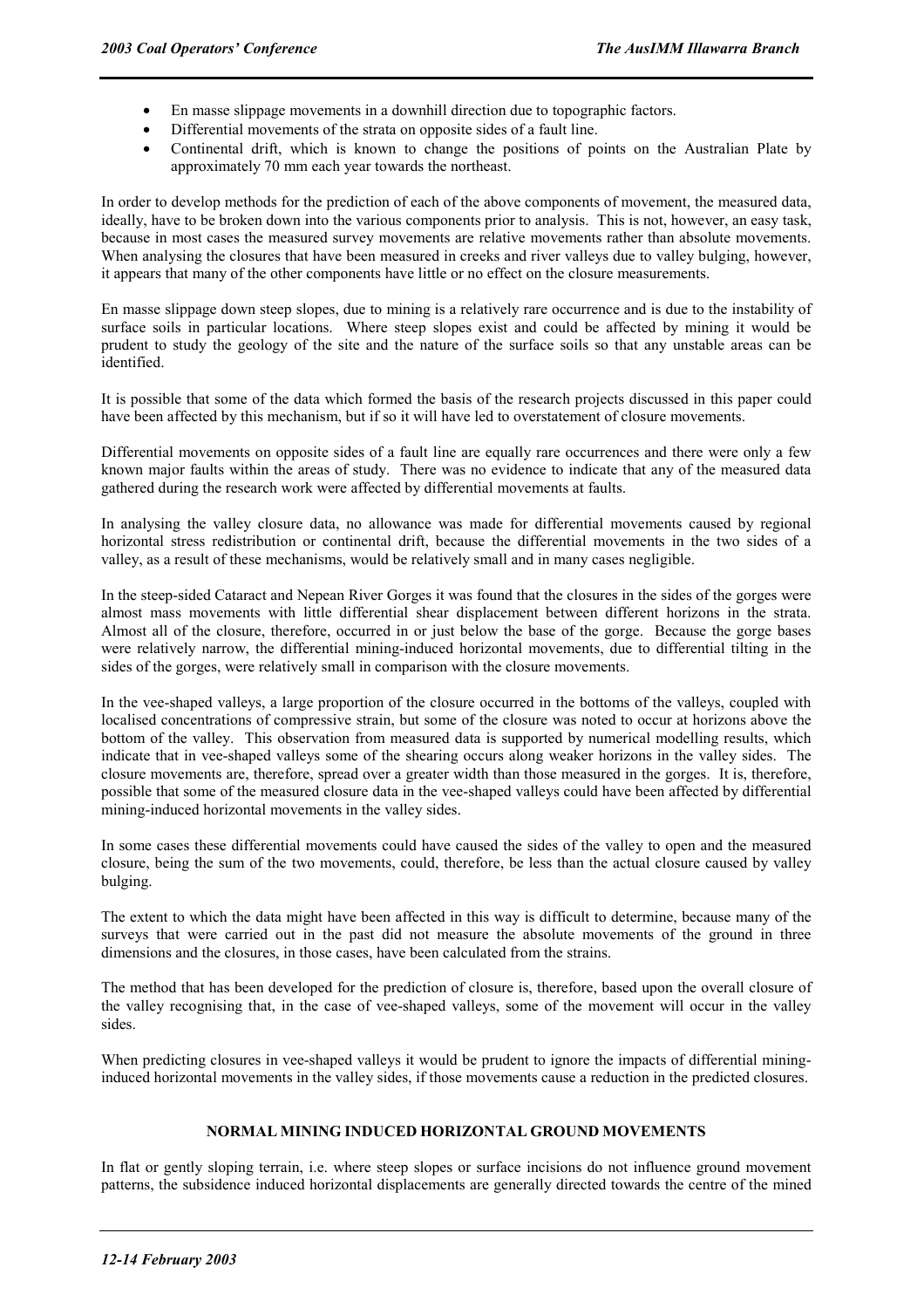- En masse slippage movements in a downhill direction due to topographic factors.
- Differential movements of the strata on opposite sides of a fault line.
- Continental drift, which is known to change the positions of points on the Australian Plate by approximately 70 mm each year towards the northeast.

In order to develop methods for the prediction of each of the above components of movement, the measured data, ideally, have to be broken down into the various components prior to analysis. This is not, however, an easy task, because in most cases the measured survey movements are relative movements rather than absolute movements. When analysing the closures that have been measured in creeks and river valleys due to valley bulging, however, it appears that many of the other components have little or no effect on the closure measurements.

En masse slippage down steep slopes, due to mining is a relatively rare occurrence and is due to the instability of surface soils in particular locations. Where steep slopes exist and could be affected by mining it would be prudent to study the geology of the site and the nature of the surface soils so that any unstable areas can be identified.

It is possible that some of the data which formed the basis of the research projects discussed in this paper could have been affected by this mechanism, but if so it will have led to overstatement of closure movements.

Differential movements on opposite sides of a fault line are equally rare occurrences and there were only a few known major faults within the areas of study. There was no evidence to indicate that any of the measured data gathered during the research work were affected by differential movements at faults.

In analysing the valley closure data, no allowance was made for differential movements caused by regional horizontal stress redistribution or continental drift, because the differential movements in the two sides of a valley, as a result of these mechanisms, would be relatively small and in many cases negligible.

In the steep-sided Cataract and Nepean River Gorges it was found that the closures in the sides of the gorges were almost mass movements with little differential shear displacement between different horizons in the strata. Almost all of the closure, therefore, occurred in or just below the base of the gorge. Because the gorge bases were relatively narrow, the differential mining-induced horizontal movements, due to differential tilting in the sides of the gorges, were relatively small in comparison with the closure movements.

In the vee-shaped valleys, a large proportion of the closure occurred in the bottoms of the valleys, coupled with localised concentrations of compressive strain, but some of the closure was noted to occur at horizons above the bottom of the valley. This observation from measured data is supported by numerical modelling results, which indicate that in vee-shaped valleys some of the shearing occurs along weaker horizons in the valley sides. The closure movements are, therefore, spread over a greater width than those measured in the gorges. It is, therefore, possible that some of the measured closure data in the vee-shaped valleys could have been affected by differential mining-induced horizontal movements in the valley sides.

In some cases these differential movements could have caused the sides of the valley to open and the measured closure, being the sum of the two movements, could, therefore, be less than the actual closure caused by valley bulging.

The extent to which the data might have been affected in this way is difficult to determine, because many of the surveys that were carried out in the past did not measure the absolute movements of the ground in three dimensions and the closures, in those cases, have been calculated from the strains.

The method that has been developed for the prediction of closure is, therefore, based upon the overall closure of the valley recognising that, in the case of vee-shaped valleys, some of the movement will occur in the valley sides.

When predicting closures in vee-shaped valleys it would be prudent to ignore the impacts of differential mininginduced horizontal movements in the valley sides, if those movements cause a reduction in the predicted closures.

#### **NORMAL MINING INDUCED HORIZONTAL GROUND MOVEMENTS**

In flat or gently sloping terrain, i.e. where steep slopes or surface incisions do not influence ground movement patterns, the subsidence induced horizontal displacements are generally directed towards the centre of the mined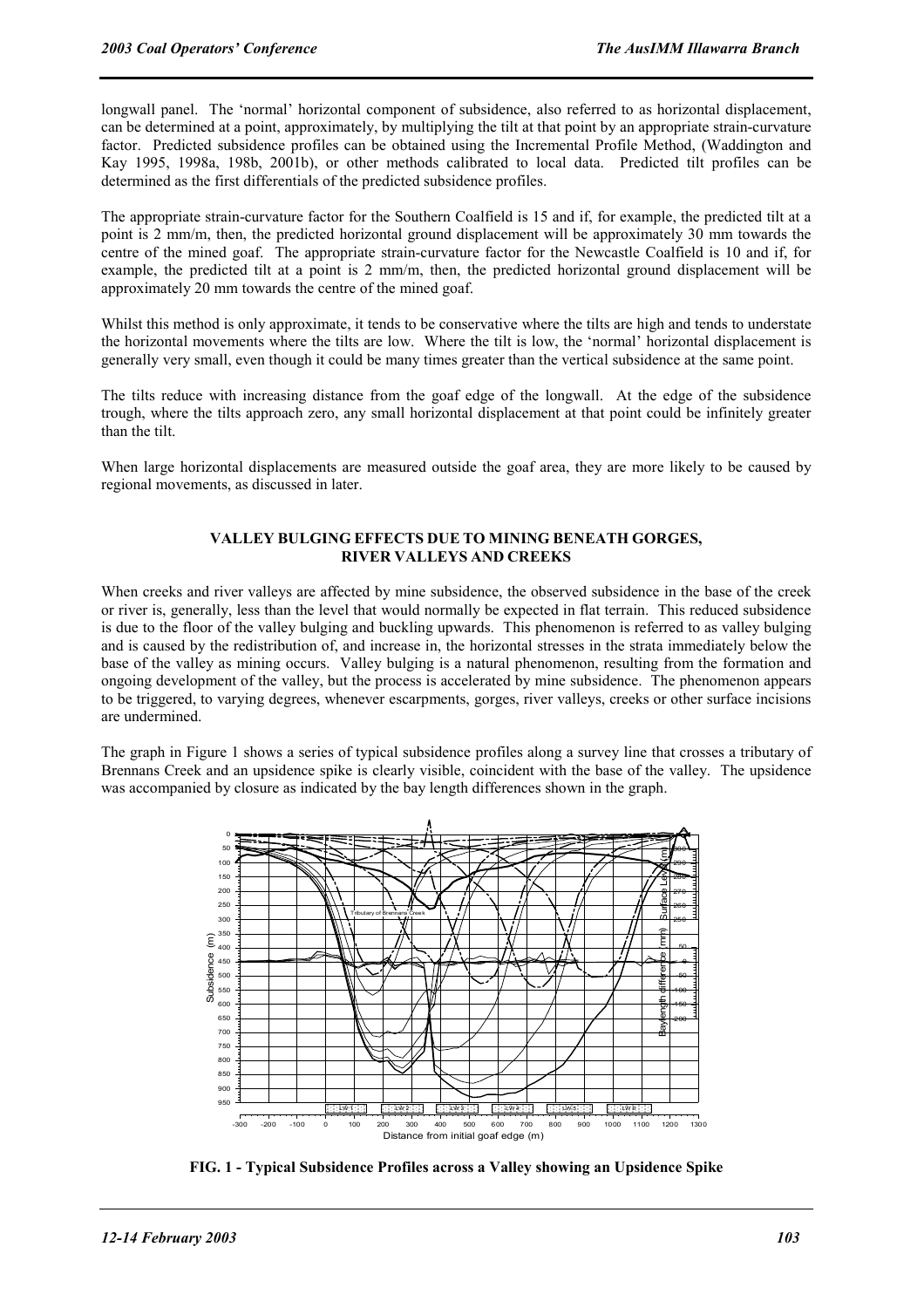longwall panel. The 'normal' horizontal component of subsidence, also referred to as horizontal displacement, can be determined at a point, approximately, by multiplying the tilt at that point by an appropriate strain-curvature factor. Predicted subsidence profiles can be obtained using the Incremental Profile Method, (Waddington and Kay 1995, 1998a, 198b, 2001b), or other methods calibrated to local data. Predicted tilt profiles can be determined as the first differentials of the predicted subsidence profiles.

The appropriate strain-curvature factor for the Southern Coalfield is 15 and if, for example, the predicted tilt at a point is 2 mm/m, then, the predicted horizontal ground displacement will be approximately 30 mm towards the centre of the mined goaf. The appropriate strain-curvature factor for the Newcastle Coalfield is 10 and if, for example, the predicted tilt at a point is 2 mm/m, then, the predicted horizontal ground displacement will be approximately 20 mm towards the centre of the mined goaf.

Whilst this method is only approximate, it tends to be conservative where the tilts are high and tends to understate the horizontal movements where the tilts are low. Where the tilt is low, the 'normal' horizontal displacement is generally very small, even though it could be many times greater than the vertical subsidence at the same point.

The tilts reduce with increasing distance from the goaf edge of the longwall. At the edge of the subsidence trough, where the tilts approach zero, any small horizontal displacement at that point could be infinitely greater than the tilt.

When large horizontal displacements are measured outside the goaf area, they are more likely to be caused by regional movements, as discussed in later.

#### **VALLEY BULGING EFFECTS DUE TO MINING BENEATH GORGES, RIVER VALLEYS AND CREEKS**

When creeks and river valleys are affected by mine subsidence, the observed subsidence in the base of the creek or river is, generally, less than the level that would normally be expected in flat terrain. This reduced subsidence is due to the floor of the valley bulging and buckling upwards. This phenomenon is referred to as valley bulging and is caused by the redistribution of, and increase in, the horizontal stresses in the strata immediately below the base of the valley as mining occurs. Valley bulging is a natural phenomenon, resulting from the formation and ongoing development of the valley, but the process is accelerated by mine subsidence. The phenomenon appears to be triggered, to varying degrees, whenever escarpments, gorges, river valleys, creeks or other surface incisions are undermined.

The graph in Figure 1 shows a series of typical subsidence profiles along a survey line that crosses a tributary of Brennans Creek and an upsidence spike is clearly visible, coincident with the base of the valley. The upsidence was accompanied by closure as indicated by the bay length differences shown in the graph.



**FIG. 1 - Typical Subsidence Profiles across a Valley showing an Upsidence Spike**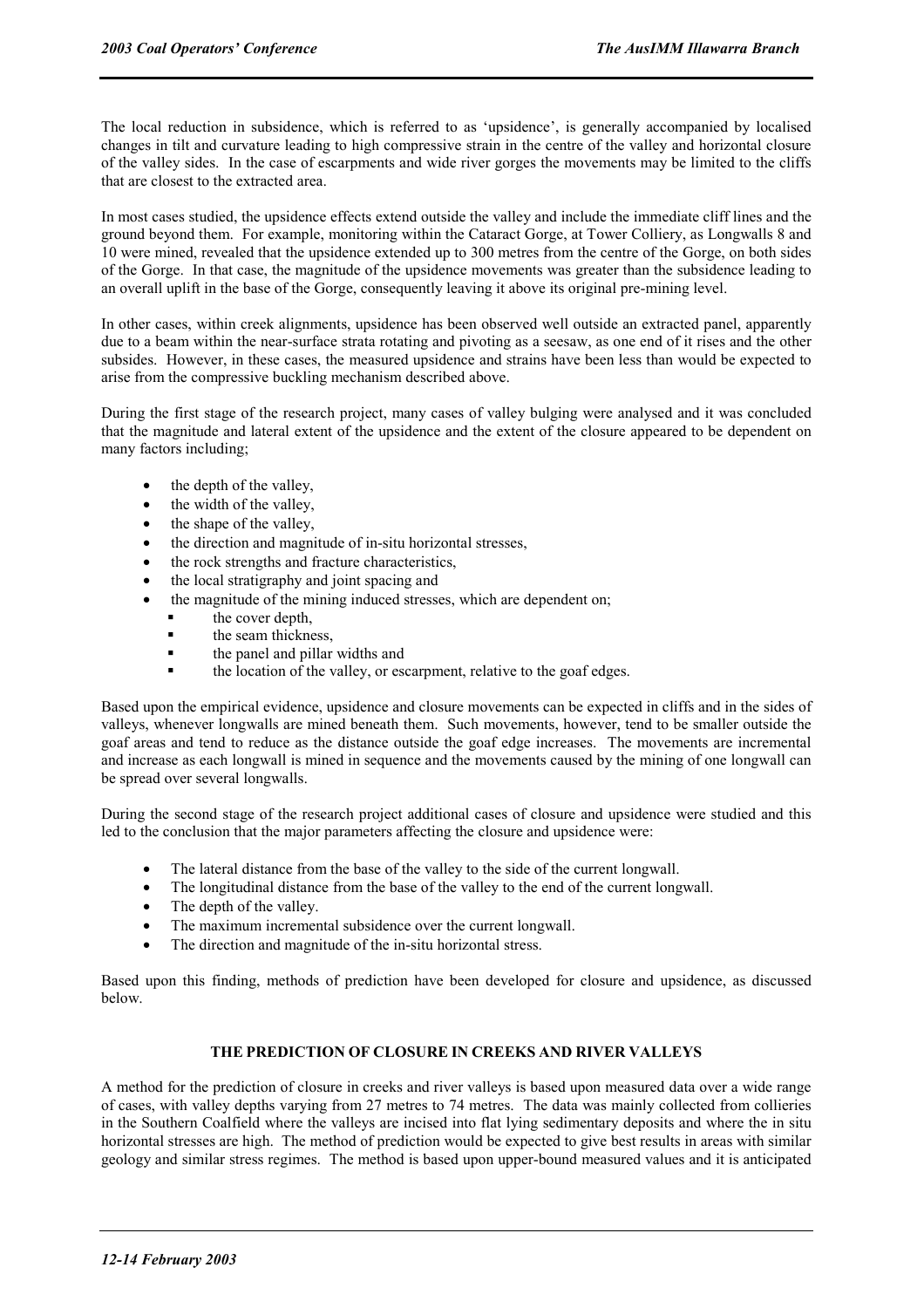The local reduction in subsidence, which is referred to as 'upsidence', is generally accompanied by localised changes in tilt and curvature leading to high compressive strain in the centre of the valley and horizontal closure of the valley sides. In the case of escarpments and wide river gorges the movements may be limited to the cliffs that are closest to the extracted area.

In most cases studied, the upsidence effects extend outside the valley and include the immediate cliff lines and the ground beyond them. For example, monitoring within the Cataract Gorge, at Tower Colliery, as Longwalls 8 and 10 were mined, revealed that the upsidence extended up to 300 metres from the centre of the Gorge, on both sides of the Gorge. In that case, the magnitude of the upsidence movements was greater than the subsidence leading to an overall uplift in the base of the Gorge, consequently leaving it above its original pre-mining level.

In other cases, within creek alignments, upsidence has been observed well outside an extracted panel, apparently due to a beam within the near-surface strata rotating and pivoting as a seesaw, as one end of it rises and the other subsides. However, in these cases, the measured upsidence and strains have been less than would be expected to arise from the compressive buckling mechanism described above.

During the first stage of the research project, many cases of valley bulging were analysed and it was concluded that the magnitude and lateral extent of the upsidence and the extent of the closure appeared to be dependent on many factors including;

- the depth of the valley,
- the width of the valley,
- the shape of the valley,
- the direction and magnitude of in-situ horizontal stresses,
- the rock strengths and fracture characteristics,
- the local stratigraphy and joint spacing and
- the magnitude of the mining induced stresses, which are dependent on;
	- the cover depth,
	- the seam thickness,
	- the panel and pillar widths and
	- the location of the valley, or escarpment, relative to the goaf edges.

Based upon the empirical evidence, upsidence and closure movements can be expected in cliffs and in the sides of valleys, whenever longwalls are mined beneath them. Such movements, however, tend to be smaller outside the goaf areas and tend to reduce as the distance outside the goaf edge increases. The movements are incremental and increase as each longwall is mined in sequence and the movements caused by the mining of one longwall can be spread over several longwalls.

During the second stage of the research project additional cases of closure and upsidence were studied and this led to the conclusion that the major parameters affecting the closure and upsidence were:

- The lateral distance from the base of the valley to the side of the current longwall.
- The longitudinal distance from the base of the valley to the end of the current longwall.
- The depth of the valley.
- The maximum incremental subsidence over the current longwall.
- The direction and magnitude of the in-situ horizontal stress.

Based upon this finding, methods of prediction have been developed for closure and upsidence, as discussed below.

#### **THE PREDICTION OF CLOSURE IN CREEKS AND RIVER VALLEYS**

A method for the prediction of closure in creeks and river valleys is based upon measured data over a wide range of cases, with valley depths varying from 27 metres to 74 metres. The data was mainly collected from collieries in the Southern Coalfield where the valleys are incised into flat lying sedimentary deposits and where the in situ horizontal stresses are high. The method of prediction would be expected to give best results in areas with similar geology and similar stress regimes. The method is based upon upper-bound measured values and it is anticipated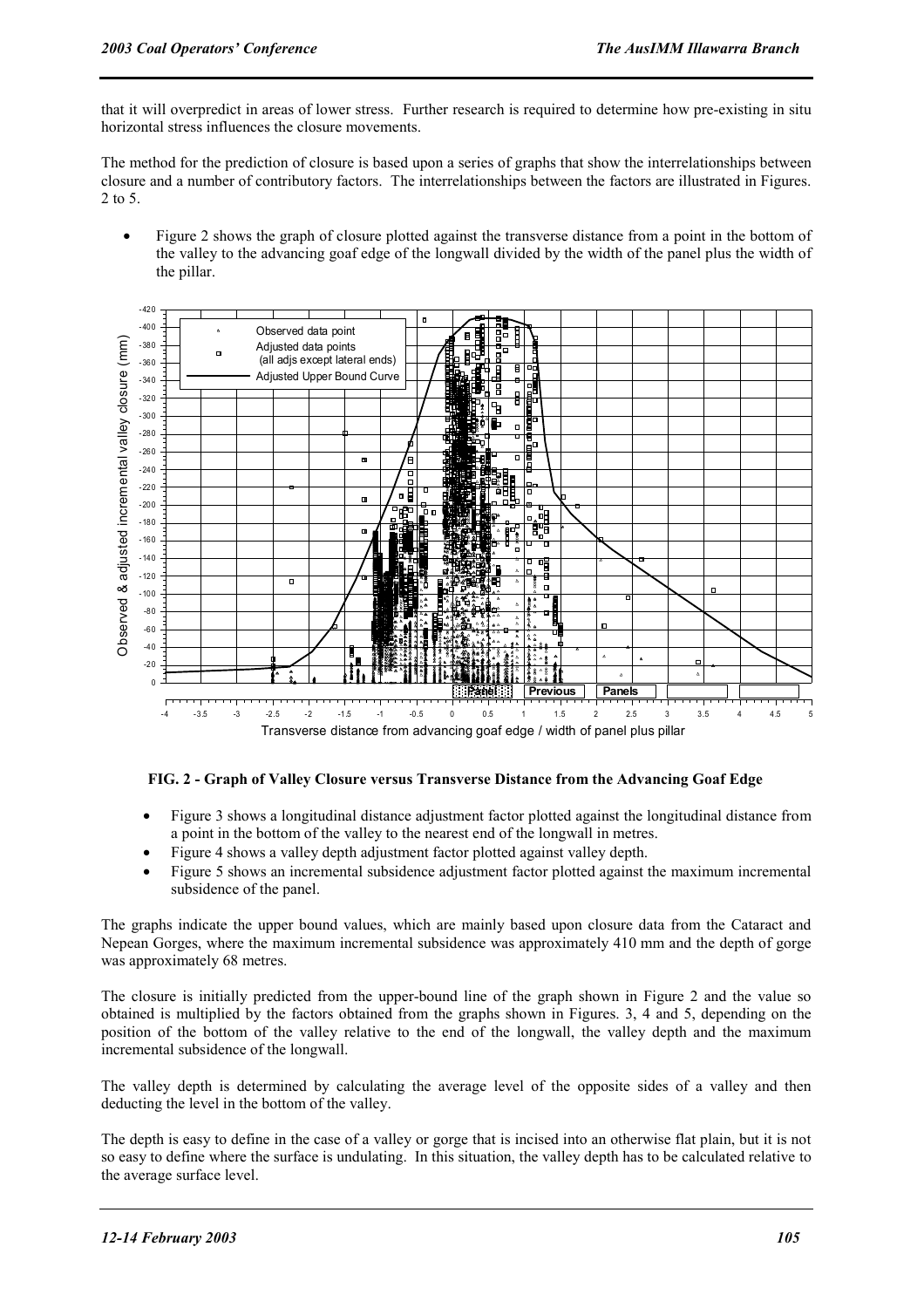that it will overpredict in areas of lower stress. Further research is required to determine how pre-existing in situ horizontal stress influences the closure movements.

The method for the prediction of closure is based upon a series of graphs that show the interrelationships between closure and a number of contributory factors. The interrelationships between the factors are illustrated in Figures. 2 to 5.

• Figure 2 shows the graph of closure plotted against the transverse distance from a point in the bottom of the valley to the advancing goaf edge of the longwall divided by the width of the panel plus the width of the pillar.



**FIG. 2 - Graph of Valley Closure versus Transverse Distance from the Advancing Goaf Edge** 

- Figure 3 shows a longitudinal distance adjustment factor plotted against the longitudinal distance from a point in the bottom of the valley to the nearest end of the longwall in metres.
- Figure 4 shows a valley depth adjustment factor plotted against valley depth.
- Figure 5 shows an incremental subsidence adjustment factor plotted against the maximum incremental subsidence of the panel.

The graphs indicate the upper bound values, which are mainly based upon closure data from the Cataract and Nepean Gorges, where the maximum incremental subsidence was approximately 410 mm and the depth of gorge was approximately 68 metres.

The closure is initially predicted from the upper-bound line of the graph shown in Figure 2 and the value so obtained is multiplied by the factors obtained from the graphs shown in Figures. 3, 4 and 5, depending on the position of the bottom of the valley relative to the end of the longwall, the valley depth and the maximum incremental subsidence of the longwall.

The valley depth is determined by calculating the average level of the opposite sides of a valley and then deducting the level in the bottom of the valley.

The depth is easy to define in the case of a valley or gorge that is incised into an otherwise flat plain, but it is not so easy to define where the surface is undulating. In this situation, the valley depth has to be calculated relative to the average surface level.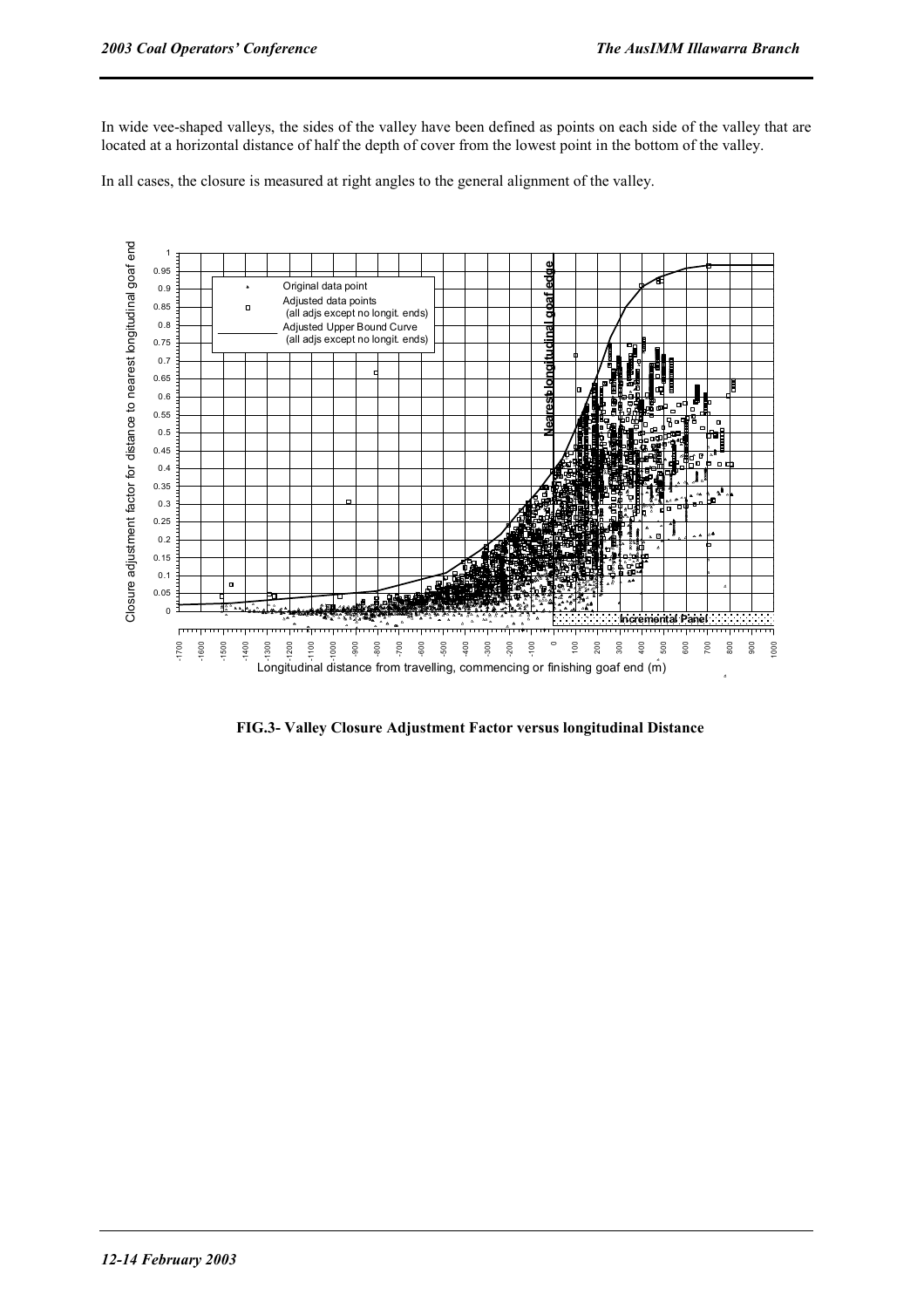In wide vee-shaped valleys, the sides of the valley have been defined as points on each side of the valley that are located at a horizontal distance of half the depth of cover from the lowest point in the bottom of the valley.

In all cases, the closure is measured at right angles to the general alignment of the valley.



**FIG.3- Valley Closure Adjustment Factor versus longitudinal Distance**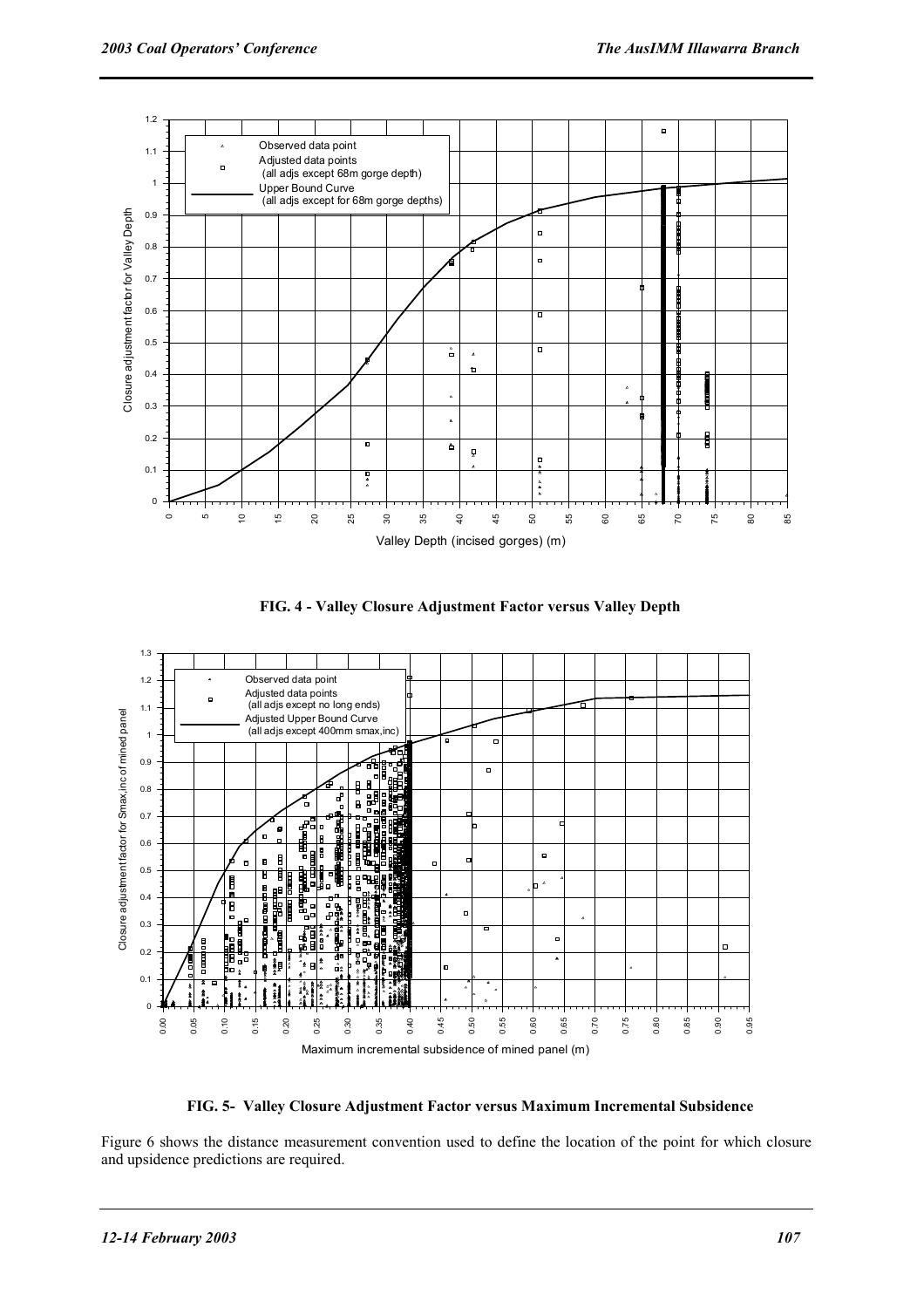

**FIG. 4 - Valley Closure Adjustment Factor versus Valley Depth** 



**FIG. 5- Valley Closure Adjustment Factor versus Maximum Incremental Subsidence**

Figure 6 shows the distance measurement convention used to define the location of the point for which closure and upsidence predictions are required.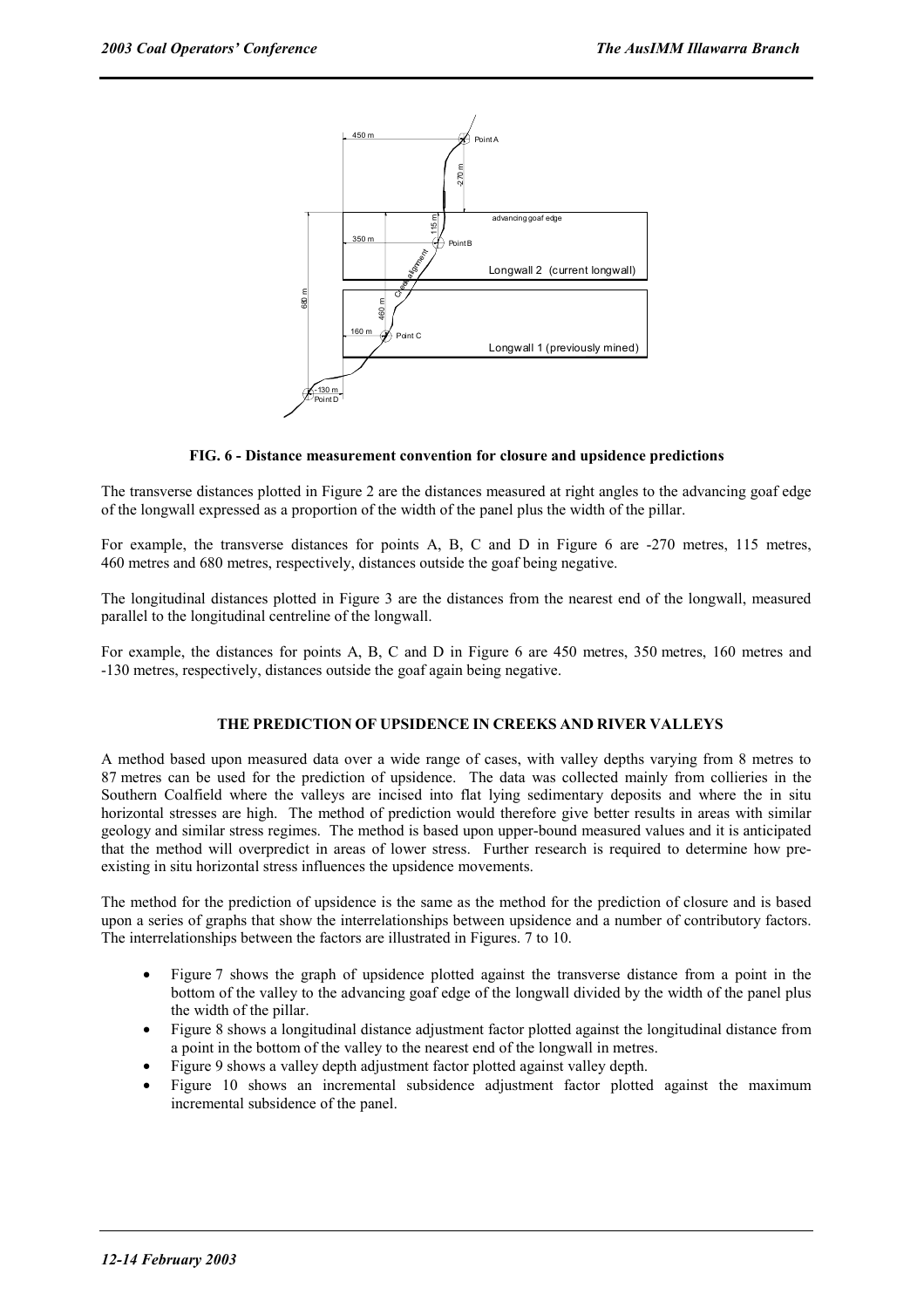

#### **FIG. 6 - Distance measurement convention for closure and upsidence predictions**

The transverse distances plotted in Figure 2 are the distances measured at right angles to the advancing goaf edge of the longwall expressed as a proportion of the width of the panel plus the width of the pillar.

For example, the transverse distances for points A, B, C and D in Figure 6 are -270 metres, 115 metres, 460 metres and 680 metres, respectively, distances outside the goaf being negative.

The longitudinal distances plotted in Figure 3 are the distances from the nearest end of the longwall, measured parallel to the longitudinal centreline of the longwall.

For example, the distances for points A, B, C and D in Figure 6 are 450 metres, 350 metres, 160 metres and -130 metres, respectively, distances outside the goaf again being negative.

#### **THE PREDICTION OF UPSIDENCE IN CREEKS AND RIVER VALLEYS**

A method based upon measured data over a wide range of cases, with valley depths varying from 8 metres to 87 metres can be used for the prediction of upsidence. The data was collected mainly from collieries in the Southern Coalfield where the valleys are incised into flat lying sedimentary deposits and where the in situ horizontal stresses are high. The method of prediction would therefore give better results in areas with similar geology and similar stress regimes. The method is based upon upper-bound measured values and it is anticipated that the method will overpredict in areas of lower stress. Further research is required to determine how preexisting in situ horizontal stress influences the upsidence movements.

The method for the prediction of upsidence is the same as the method for the prediction of closure and is based upon a series of graphs that show the interrelationships between upsidence and a number of contributory factors. The interrelationships between the factors are illustrated in Figures. 7 to 10.

- Figure 7 shows the graph of upsidence plotted against the transverse distance from a point in the bottom of the valley to the advancing goaf edge of the longwall divided by the width of the panel plus the width of the pillar.
- Figure 8 shows a longitudinal distance adjustment factor plotted against the longitudinal distance from a point in the bottom of the valley to the nearest end of the longwall in metres.
- Figure 9 shows a valley depth adjustment factor plotted against valley depth.
- Figure 10 shows an incremental subsidence adjustment factor plotted against the maximum incremental subsidence of the panel.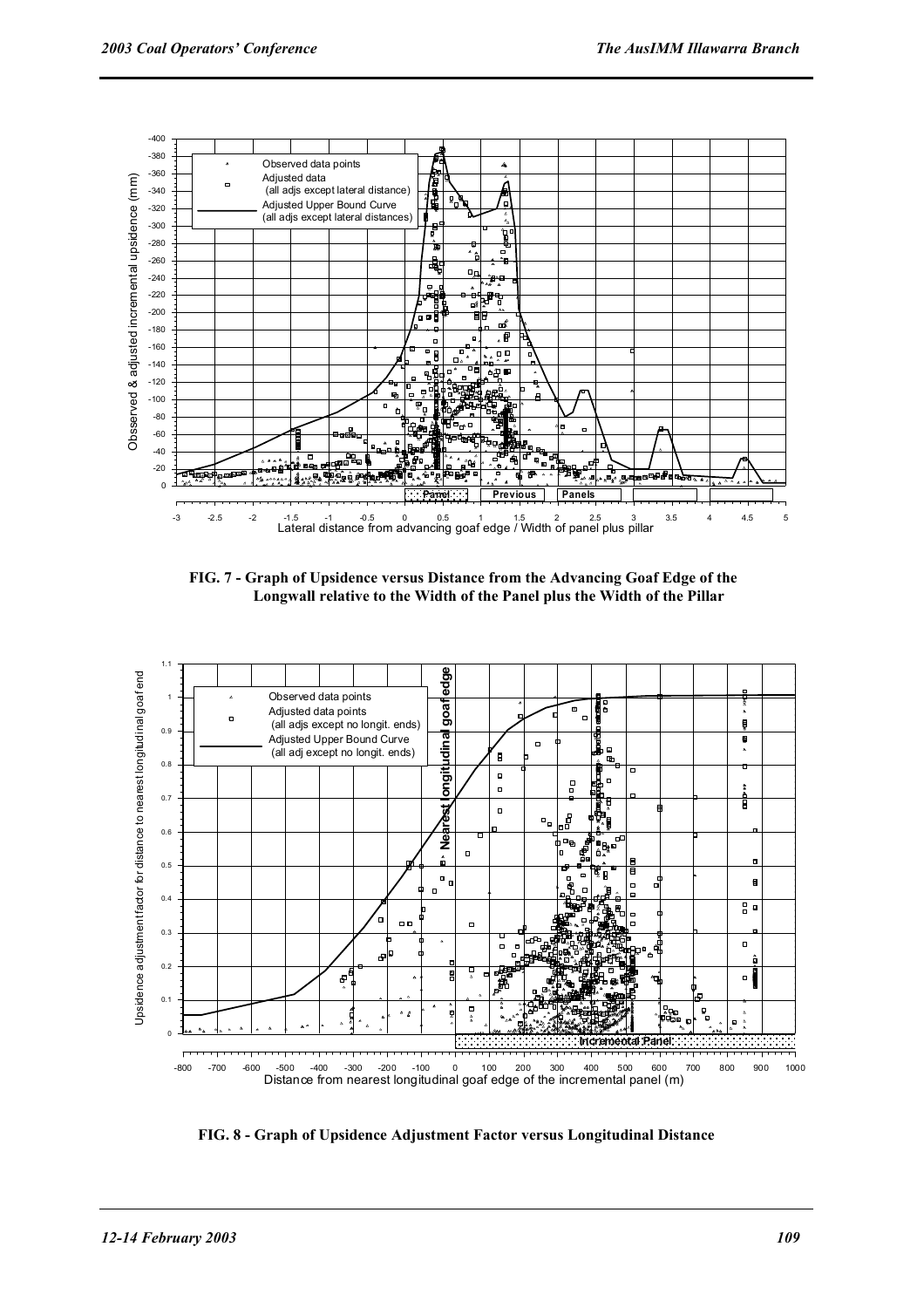

**FIG. 7 - Graph of Upsidence versus Distance from the Advancing Goaf Edge of the Longwall relative to the Width of the Panel plus the Width of the Pillar** 



**FIG. 8 - Graph of Upsidence Adjustment Factor versus Longitudinal Distance**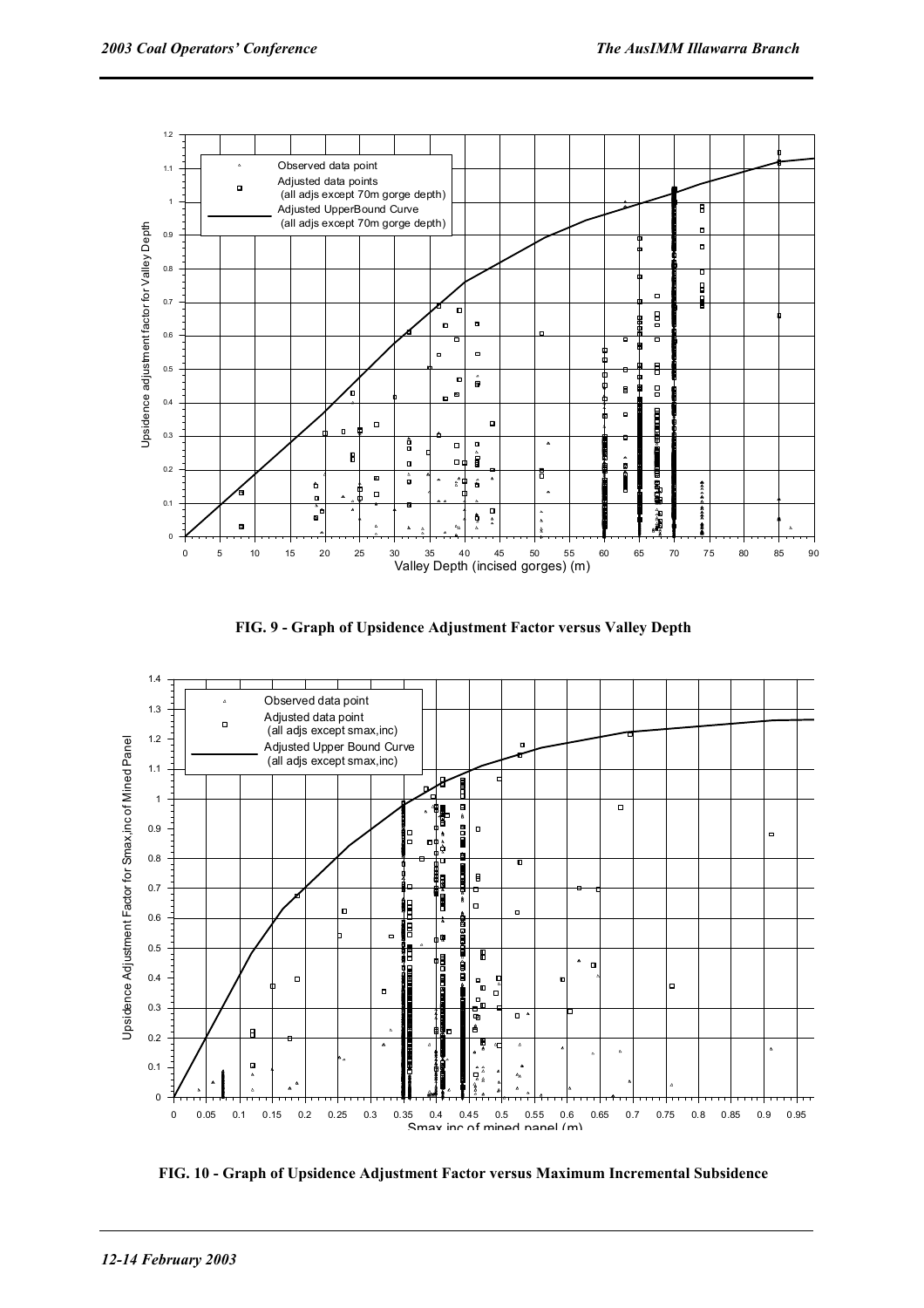

**FIG. 9 - Graph of Upsidence Adjustment Factor versus Valley Depth**



**FIG. 10 - Graph of Upsidence Adjustment Factor versus Maximum Incremental Subsidence**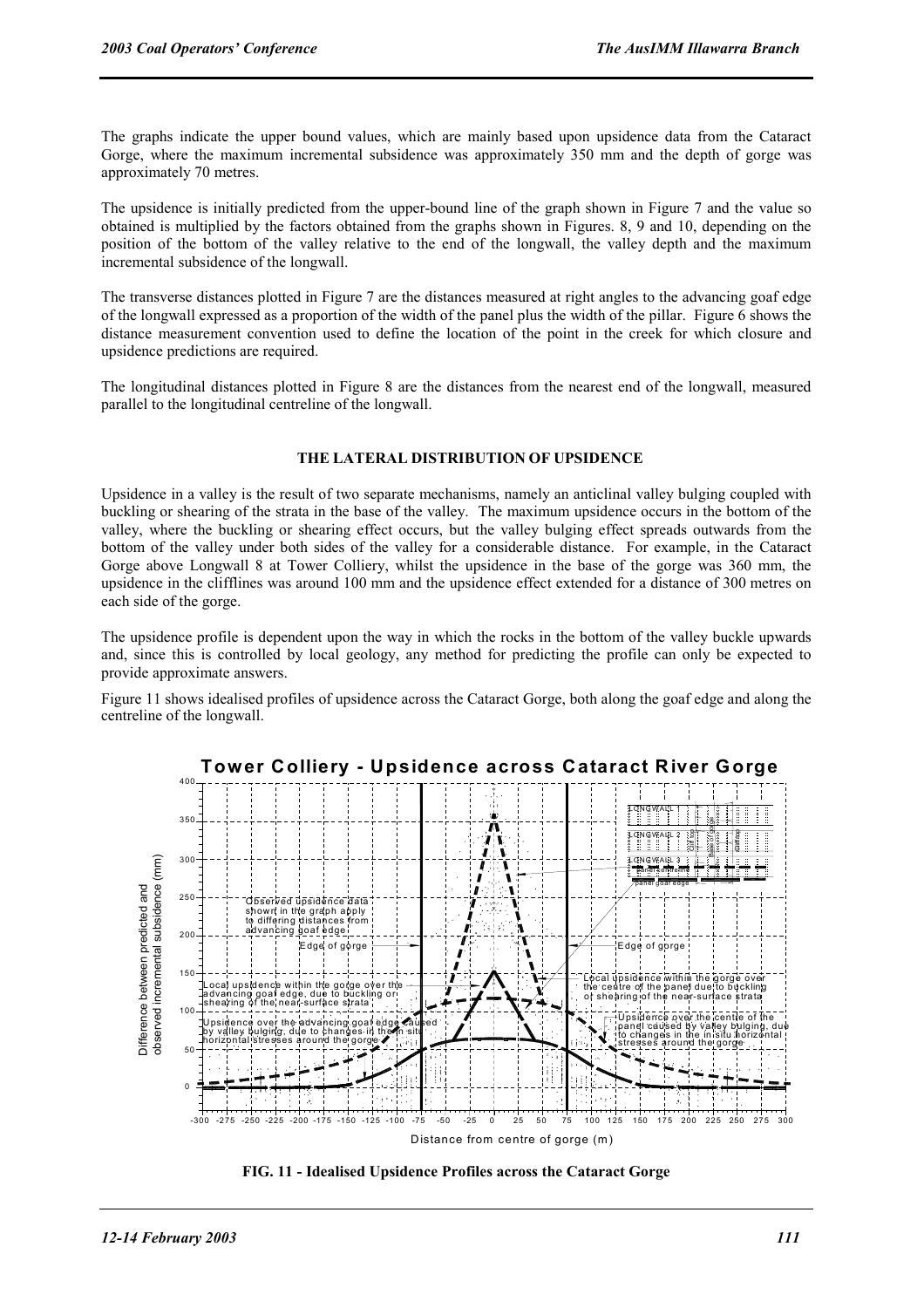The graphs indicate the upper bound values, which are mainly based upon upsidence data from the Cataract Gorge, where the maximum incremental subsidence was approximately 350 mm and the depth of gorge was approximately 70 metres.

The upsidence is initially predicted from the upper-bound line of the graph shown in Figure 7 and the value so obtained is multiplied by the factors obtained from the graphs shown in Figures. 8, 9 and 10, depending on the position of the bottom of the valley relative to the end of the longwall, the valley depth and the maximum incremental subsidence of the longwall.

The transverse distances plotted in Figure 7 are the distances measured at right angles to the advancing goaf edge of the longwall expressed as a proportion of the width of the panel plus the width of the pillar. Figure 6 shows the distance measurement convention used to define the location of the point in the creek for which closure and upsidence predictions are required.

The longitudinal distances plotted in Figure 8 are the distances from the nearest end of the longwall, measured parallel to the longitudinal centreline of the longwall.

#### **THE LATERAL DISTRIBUTION OF UPSIDENCE**

Upsidence in a valley is the result of two separate mechanisms, namely an anticlinal valley bulging coupled with buckling or shearing of the strata in the base of the valley. The maximum upsidence occurs in the bottom of the valley, where the buckling or shearing effect occurs, but the valley bulging effect spreads outwards from the bottom of the valley under both sides of the valley for a considerable distance. For example, in the Cataract Gorge above Longwall 8 at Tower Colliery, whilst the upsidence in the base of the gorge was 360 mm, the upsidence in the clifflines was around 100 mm and the upsidence effect extended for a distance of 300 metres on each side of the gorge.

The upsidence profile is dependent upon the way in which the rocks in the bottom of the valley buckle upwards and, since this is controlled by local geology, any method for predicting the profile can only be expected to provide approximate answers.

Figure 11 shows idealised profiles of upsidence across the Cataract Gorge, both along the goaf edge and along the centreline of the longwall.



**FIG. 11 - Idealised Upsidence Profiles across the Cataract Gorge**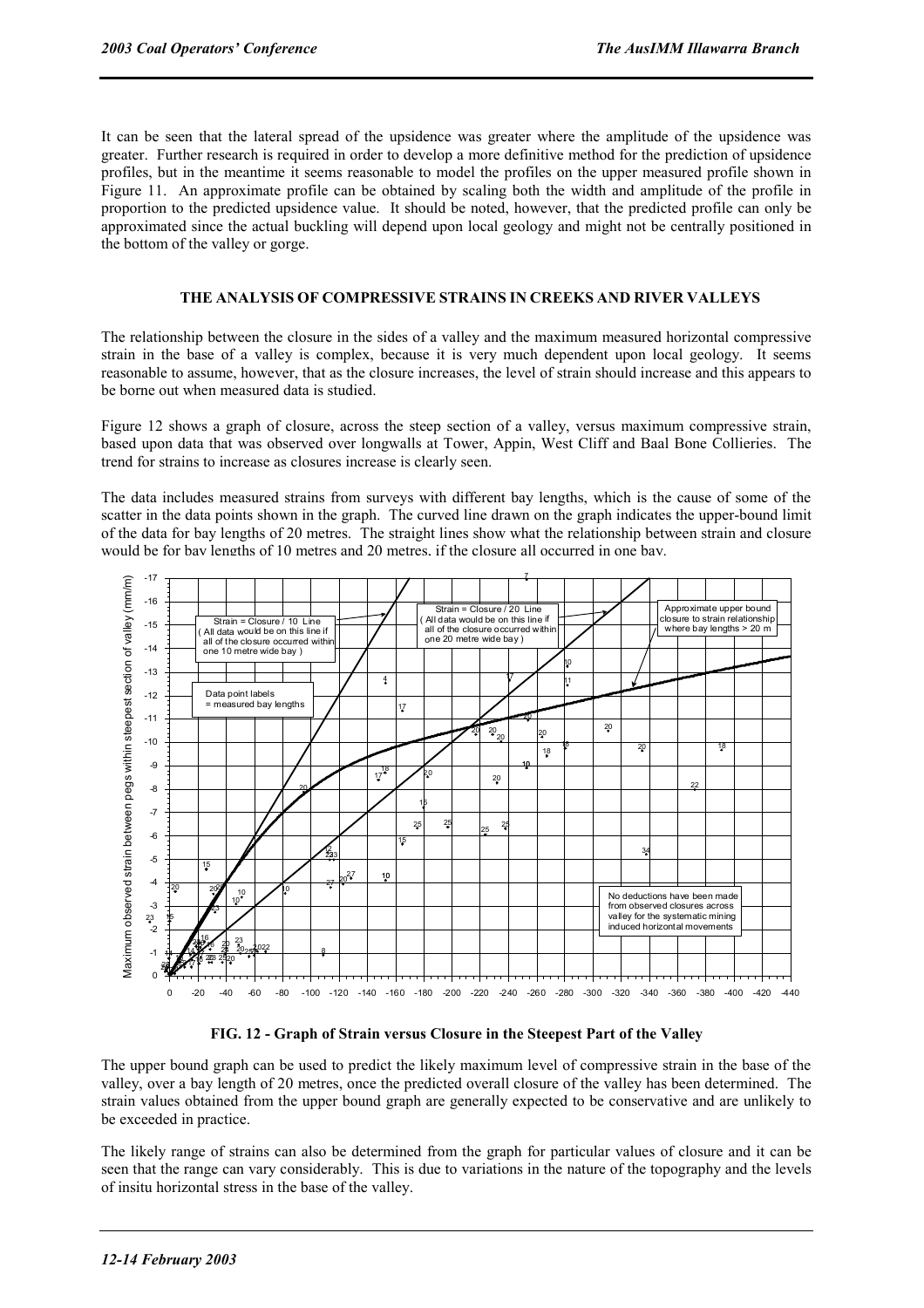It can be seen that the lateral spread of the upsidence was greater where the amplitude of the upsidence was greater. Further research is required in order to develop a more definitive method for the prediction of upsidence profiles, but in the meantime it seems reasonable to model the profiles on the upper measured profile shown in Figure 11. An approximate profile can be obtained by scaling both the width and amplitude of the profile in proportion to the predicted upsidence value. It should be noted, however, that the predicted profile can only be approximated since the actual buckling will depend upon local geology and might not be centrally positioned in the bottom of the valley or gorge.

#### **THE ANALYSIS OF COMPRESSIVE STRAINS IN CREEKS AND RIVER VALLEYS**

The relationship between the closure in the sides of a valley and the maximum measured horizontal compressive strain in the base of a valley is complex, because it is very much dependent upon local geology. It seems reasonable to assume, however, that as the closure increases, the level of strain should increase and this appears to be borne out when measured data is studied.

Figure 12 shows a graph of closure, across the steep section of a valley, versus maximum compressive strain, based upon data that was observed over longwalls at Tower, Appin, West Cliff and Baal Bone Collieries. The trend for strains to increase as closures increase is clearly seen.

The data includes measured strains from surveys with different bay lengths, which is the cause of some of the scatter in the data points shown in the graph. The curved line drawn on the graph indicates the upper-bound limit of the data for bay lengths of 20 metres. The straight lines show what the relationship between strain and closure would be for bay lengths of 10 metres and 20 metres, if the closure all occurred in one bay.



**FIG. 12 - Graph of Strain versus Closure in the Steepest Part of the Valley** 

The upper bound graph can be used to predict the likely maximum level of compressive strain in the base of the valley, over a bay length of 20 metres, once the predicted overall closure of the valley has been determined. The strain values obtained from the upper bound graph are generally expected to be conservative and are unlikely to be exceeded in practice.

The likely range of strains can also be determined from the graph for particular values of closure and it can be seen that the range can vary considerably. This is due to variations in the nature of the topography and the levels of insitu horizontal stress in the base of the valley.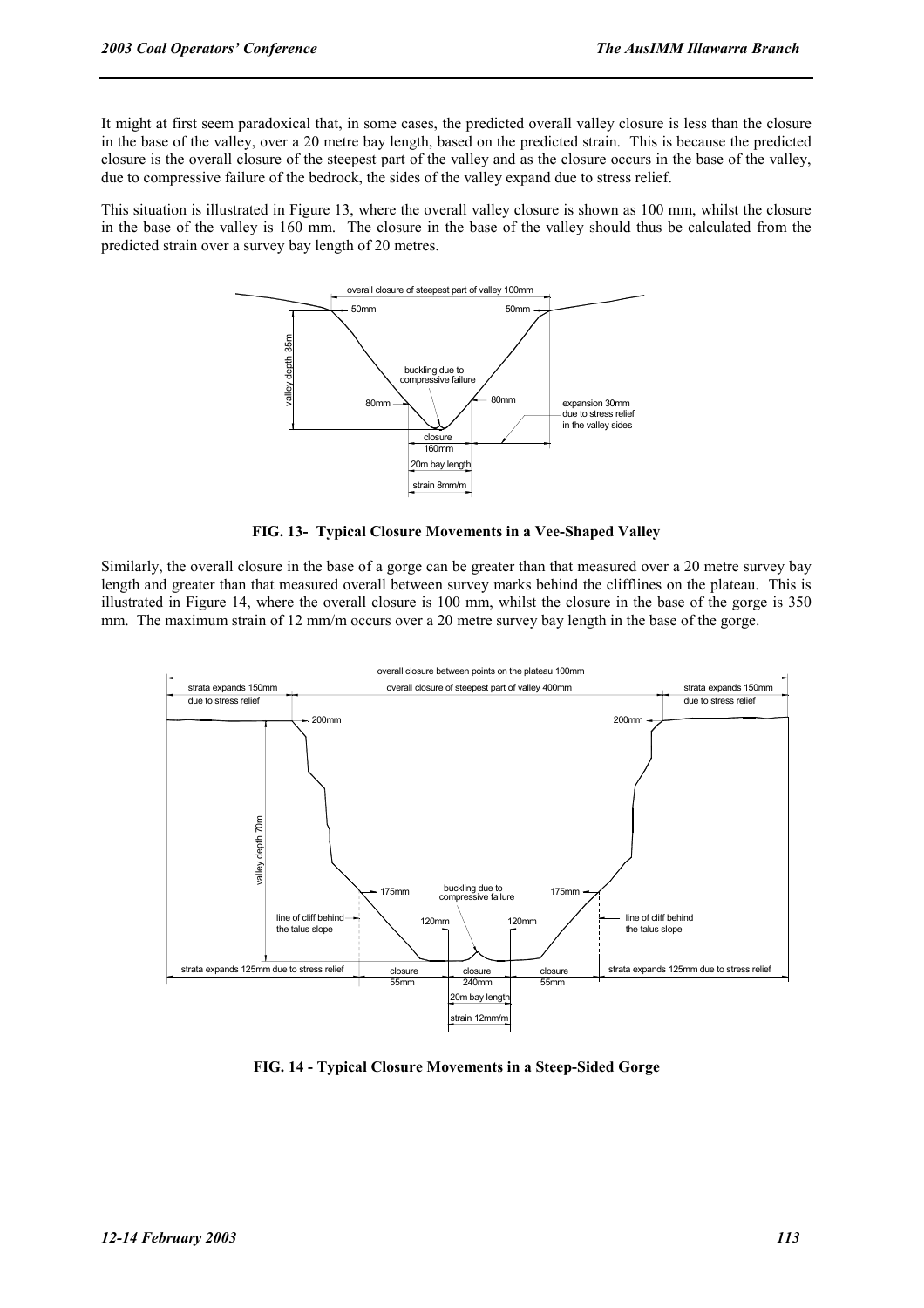It might at first seem paradoxical that, in some cases, the predicted overall valley closure is less than the closure in the base of the valley, over a 20 metre bay length, based on the predicted strain. This is because the predicted closure is the overall closure of the steepest part of the valley and as the closure occurs in the base of the valley, due to compressive failure of the bedrock, the sides of the valley expand due to stress relief.

This situation is illustrated in Figure 13, where the overall valley closure is shown as 100 mm, whilst the closure in the base of the valley is 160 mm. The closure in the base of the valley should thus be calculated from the predicted strain over a survey bay length of 20 metres.



**FIG. 13- Typical Closure Movements in a Vee-Shaped Valley** 

Similarly, the overall closure in the base of a gorge can be greater than that measured over a 20 metre survey bay length and greater than that measured overall between survey marks behind the clifflines on the plateau. This is illustrated in Figure 14, where the overall closure is 100 mm, whilst the closure in the base of the gorge is 350 mm. The maximum strain of 12 mm/m occurs over a 20 metre survey bay length in the base of the gorge.



**FIG. 14 - Typical Closure Movements in a Steep-Sided Gorge**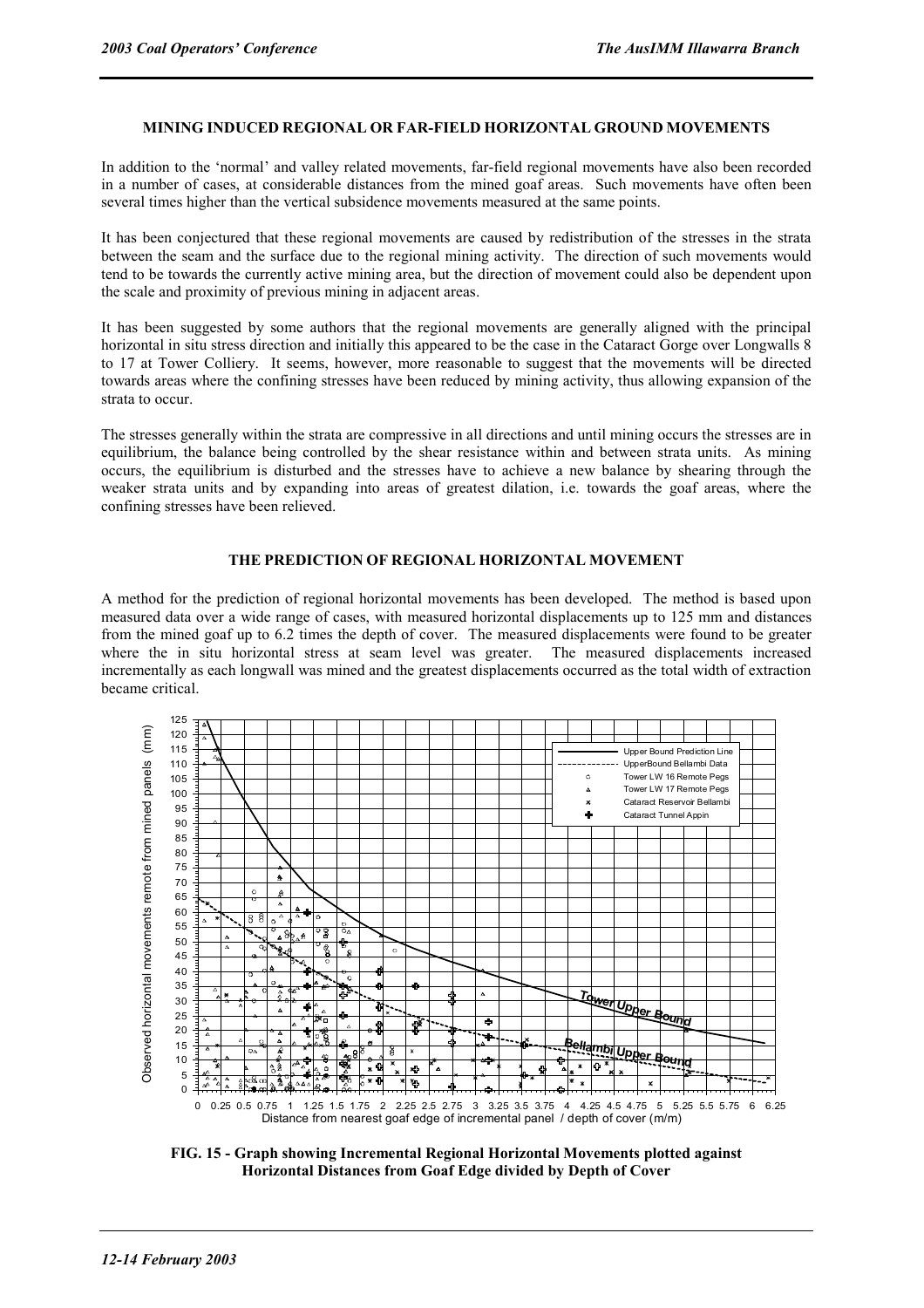#### **MINING INDUCED REGIONAL OR FAR-FIELD HORIZONTAL GROUND MOVEMENTS**

In addition to the 'normal' and valley related movements, far-field regional movements have also been recorded in a number of cases, at considerable distances from the mined goaf areas. Such movements have often been several times higher than the vertical subsidence movements measured at the same points.

It has been conjectured that these regional movements are caused by redistribution of the stresses in the strata between the seam and the surface due to the regional mining activity. The direction of such movements would tend to be towards the currently active mining area, but the direction of movement could also be dependent upon the scale and proximity of previous mining in adjacent areas.

It has been suggested by some authors that the regional movements are generally aligned with the principal horizontal in situ stress direction and initially this appeared to be the case in the Cataract Gorge over Longwalls 8 to 17 at Tower Colliery. It seems, however, more reasonable to suggest that the movements will be directed towards areas where the confining stresses have been reduced by mining activity, thus allowing expansion of the strata to occur.

The stresses generally within the strata are compressive in all directions and until mining occurs the stresses are in equilibrium, the balance being controlled by the shear resistance within and between strata units. As mining occurs, the equilibrium is disturbed and the stresses have to achieve a new balance by shearing through the weaker strata units and by expanding into areas of greatest dilation, i.e. towards the goaf areas, where the confining stresses have been relieved.

#### **THE PREDICTION OF REGIONAL HORIZONTAL MOVEMENT**

A method for the prediction of regional horizontal movements has been developed. The method is based upon measured data over a wide range of cases, with measured horizontal displacements up to 125 mm and distances from the mined goaf up to 6.2 times the depth of cover. The measured displacements were found to be greater where the in situ horizontal stress at seam level was greater. The measured displacements increased incrementally as each longwall was mined and the greatest displacements occurred as the total width of extraction became critical.



**FIG. 15 - Graph showing Incremental Regional Horizontal Movements plotted against Horizontal Distances from Goaf Edge divided by Depth of Cover**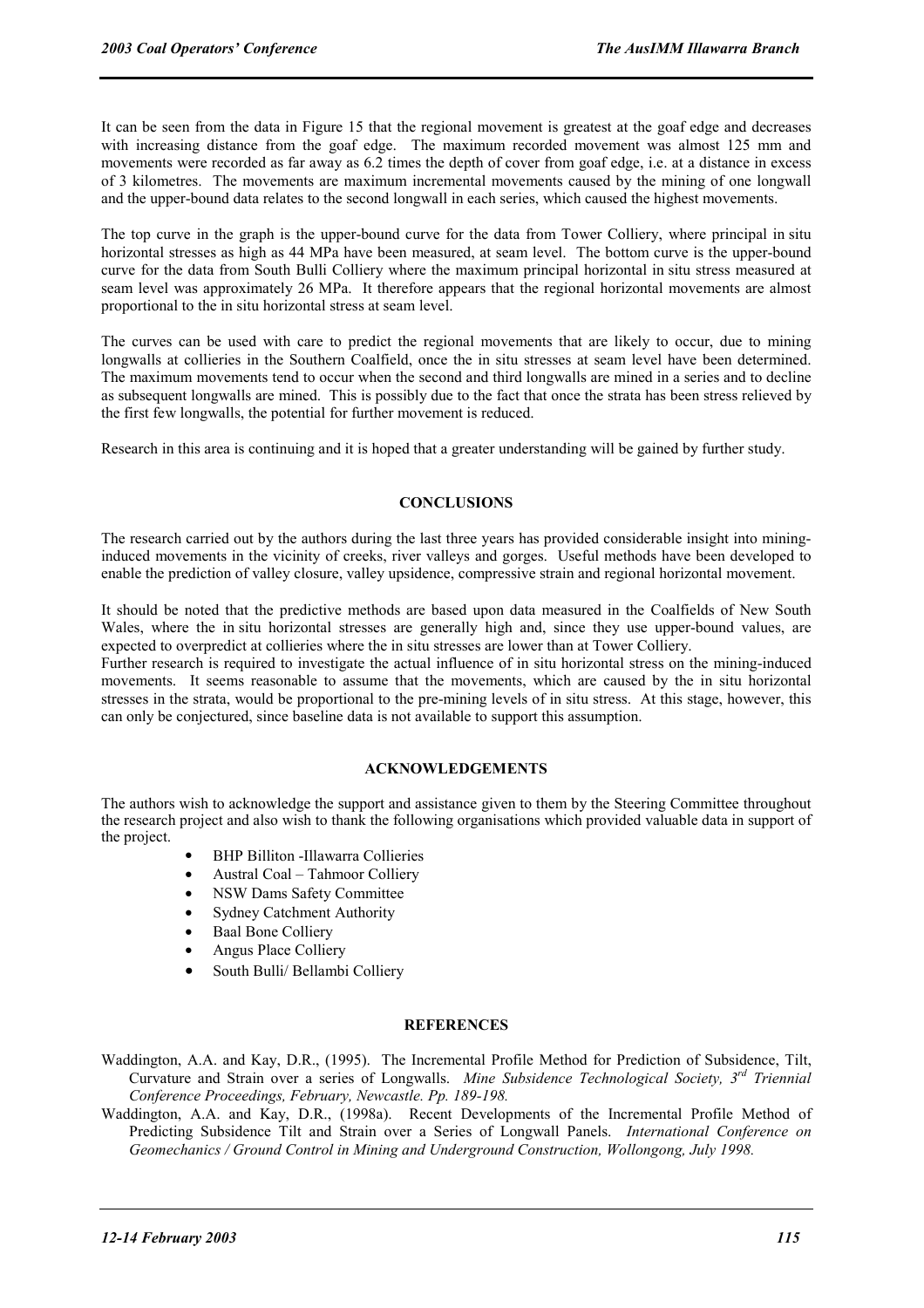It can be seen from the data in Figure 15 that the regional movement is greatest at the goaf edge and decreases with increasing distance from the goaf edge. The maximum recorded movement was almost 125 mm and movements were recorded as far away as 6.2 times the depth of cover from goaf edge, i.e. at a distance in excess of 3 kilometres. The movements are maximum incremental movements caused by the mining of one longwall and the upper-bound data relates to the second longwall in each series, which caused the highest movements.

The top curve in the graph is the upper-bound curve for the data from Tower Colliery, where principal in situ horizontal stresses as high as 44 MPa have been measured, at seam level. The bottom curve is the upper-bound curve for the data from South Bulli Colliery where the maximum principal horizontal in situ stress measured at seam level was approximately 26 MPa. It therefore appears that the regional horizontal movements are almost proportional to the in situ horizontal stress at seam level.

The curves can be used with care to predict the regional movements that are likely to occur, due to mining longwalls at collieries in the Southern Coalfield, once the in situ stresses at seam level have been determined. The maximum movements tend to occur when the second and third longwalls are mined in a series and to decline as subsequent longwalls are mined. This is possibly due to the fact that once the strata has been stress relieved by the first few longwalls, the potential for further movement is reduced.

Research in this area is continuing and it is hoped that a greater understanding will be gained by further study.

#### **CONCLUSIONS**

The research carried out by the authors during the last three years has provided considerable insight into mininginduced movements in the vicinity of creeks, river valleys and gorges. Useful methods have been developed to enable the prediction of valley closure, valley upsidence, compressive strain and regional horizontal movement.

It should be noted that the predictive methods are based upon data measured in the Coalfields of New South Wales, where the in situ horizontal stresses are generally high and, since they use upper-bound values, are expected to overpredict at collieries where the in situ stresses are lower than at Tower Colliery.

Further research is required to investigate the actual influence of in situ horizontal stress on the mining-induced movements. It seems reasonable to assume that the movements, which are caused by the in situ horizontal stresses in the strata, would be proportional to the pre-mining levels of in situ stress. At this stage, however, this can only be conjectured, since baseline data is not available to support this assumption.

#### **ACKNOWLEDGEMENTS**

The authors wish to acknowledge the support and assistance given to them by the Steering Committee throughout the research project and also wish to thank the following organisations which provided valuable data in support of the project.

- BHP Billiton -Illawarra Collieries
- Austral Coal Tahmoor Colliery
- NSW Dams Safety Committee
- Sydney Catchment Authority
- Baal Bone Colliery
- Angus Place Colliery
- South Bulli/ Bellambi Colliery

#### **REFERENCES**

- Waddington, A.A. and Kay, D.R., (1995). The Incremental Profile Method for Prediction of Subsidence, Tilt, Curvature and Strain over a series of Longwalls. *Mine Subsidence Technological Society, 3rd Triennial Conference Proceedings, February, Newcastle. Pp. 189-198.*
- Waddington, A.A. and Kay, D.R., (1998a). Recent Developments of the Incremental Profile Method of Predicting Subsidence Tilt and Strain over a Series of Longwall Panels. *International Conference on Geomechanics / Ground Control in Mining and Underground Construction, Wollongong, July 1998.*